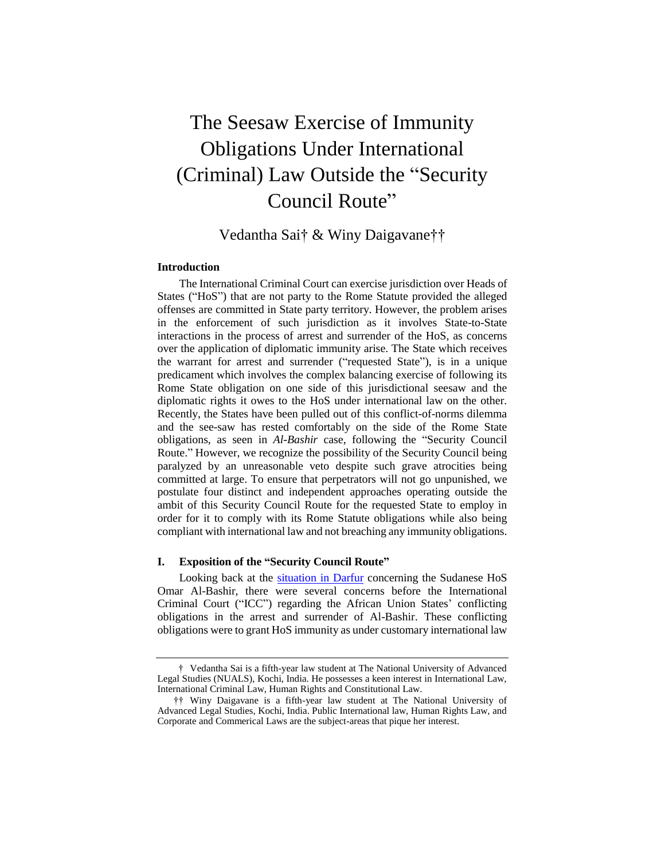# The Seesaw Exercise of Immunity Obligations Under International (Criminal) Law Outside the "Security Council Route"

Vedantha Sai† & Winy Daigavane††

# **Introduction**

 The International Criminal Court can exercise jurisdiction over Heads of States ("HoS") that are not party to the Rome Statute provided the alleged offenses are committed in State party territory. However, the problem arises in the enforcement of such jurisdiction as it involves State-to-State interactions in the process of arrest and surrender of the HoS, as concerns the warrant for arrest and surrender ("requested State"), is in a unique predicament which involves the complex balancing exercise of following its Rome State obligation on one side of this jurisdictional seesaw and the diplomatic rights it owes to the HoS under international law on the other. Recently, the States have been pulled out of this conflict-of-norms dilemma and the see-saw has rested comfortably on the side of the Rome State obligations, as seen in *Al-Bashir* case, following the "Security Council postulate four distinct and independent approaches operating outside the ambit of this Security Council Route for the requested State to employ in order for it to comply with its Rome Statute obligations while also being compliant with international law and not breaching any immunity obligations. over the application of diplomatic immunity arise. The State which receives Route." However, we recognize the possibility of the Security Council being paralyzed by an unreasonable veto despite such grave atrocities being committed at large. To ensure that perpetrators will not go unpunished, we

## **I. Exposition of the "Security Council Route"**

 Omar Al-Bashir, there were several concerns before the International Criminal Court ("ICC") regarding the African Union States' conflicting obligations in the arrest and surrender of Al-Bashir. These conflicting obligations were to grant HoS immunity as under customary international law Looking back at the [situation in Darfur](https://www.icc-cpi.int/darfur) concerning the Sudanese HoS

 † Vedantha Sai is a fifth-year law student at The National University of Advanced Legal Studies (NUALS), Kochi, India. He possesses a keen interest in International Law, International Criminal Law, Human Rights and Constitutional Law.

 †† Winy Daigavane is a fifth-year law student at The National University of Advanced Legal Studies, Kochi, India. Public International law, Human Rights Law, and Corporate and Commerical Laws are the subject-areas that pique her interest.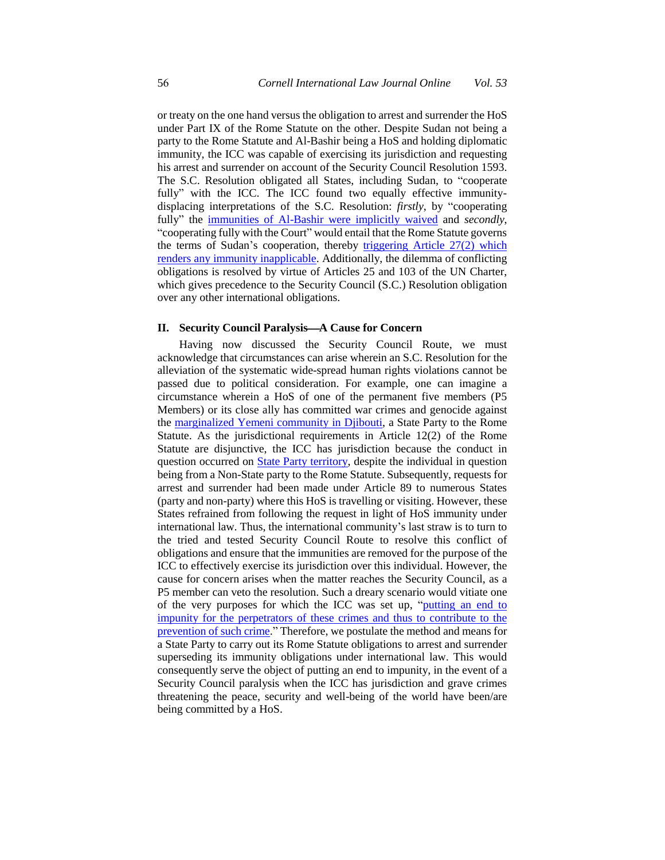or treaty on the one hand versus the obligation to arrest and surrender the HoS under Part IX of the Rome Statute on the other. Despite Sudan not being a party to the Rome Statute and Al-Bashir being a HoS and holding diplomatic immunity, the ICC was capable of exercising its jurisdiction and requesting fully" the *immunities of Al-Bashir were implicitly waived* and *secondly*, "cooperating fully with the Court" would entail that the Rome Statute governs the terms of Sudan's cooperation, thereby triggering Article 27(2) which [renders any immunity inapplicable.](https://www.icc-cpi.int/Pages/record.aspx?docNo=ICC-02/05-01/09-309) Additionally, the dilemma of conflicting obligations is resolved by virtue of Articles 25 and 103 of the UN Charter, which gives precedence to the Security Council (S.C.) Resolution obligation his arrest and surrender on account of the Security Council Resolution 1593. The S.C. Resolution obligated all States, including Sudan, to "cooperate fully" with the ICC. The ICC found two equally effective immunitydisplacing interpretations of the S.C. Resolution: *firstly*, by "cooperating over any other international obligations.

# **II.** Security Council Paralysis—A Cause for Concern

 Having now discussed the Security Council Route, we must acknowledge that circumstances can arise wherein an S.C. Resolution for the alleviation of the systematic wide-spread human rights violations cannot be Members) or its close ally has committed war crimes and genocide against the [marginalized Yemeni community in Djibouti,](https://books.google.co.in/books?id=yh89DAAAQBAJ&pg=PA57&source=gbs_toc_r&cad=4#v=onepage&q&f=false) a State Party to the Rome Statute. As the jurisdictional requirements in Article 12(2) of the Rome Statute are disjunctive, the ICC has jurisdiction because the conduct in being from a Non-State party to the Rome Statute. Subsequently, requests for States refrained from following the request in light of HoS immunity under the tried and tested Security Council Route to resolve this conflict of obligations and ensure that the immunities are removed for the purpose of the cause for concern arises when the matter reaches the Security Council, as a of the very purposes for which the ICC was set up, "putting an end to [prevention of such crime.](https://www.icc-cpi.int/resourcelibrary/official-journal/rome-statute.aspx#preamble)" Therefore, we postulate the method and means for superseding its immunity obligations under international law. This would Security Council paralysis when the ICC has jurisdiction and grave crimes passed due to political consideration. For example, one can imagine a circumstance wherein a HoS of one of the permanent five members (P5 question occurred on [State Party territory,](https://www.icc-cpi.int/resourcelibrary/official-journal/rome-statute.aspx#article12) despite the individual in question arrest and surrender had been made under Article 89 to numerous States (party and non-party) where this HoS is travelling or visiting. However, these international law. Thus, the international community's last straw is to turn to ICC to effectively exercise its jurisdiction over this individual. However, the P5 member can veto the resolution. Such a dreary scenario would vitiate one [impunity for the perpetrators of these crimes and thus to contribute to the](https://www.icc-cpi.int/resourcelibrary/official-journal/rome-statute.aspx#preamble)  a State Party to carry out its Rome Statute obligations to arrest and surrender consequently serve the object of putting an end to impunity, in the event of a threatening the peace, security and well-being of the world have been/are being committed by a HoS.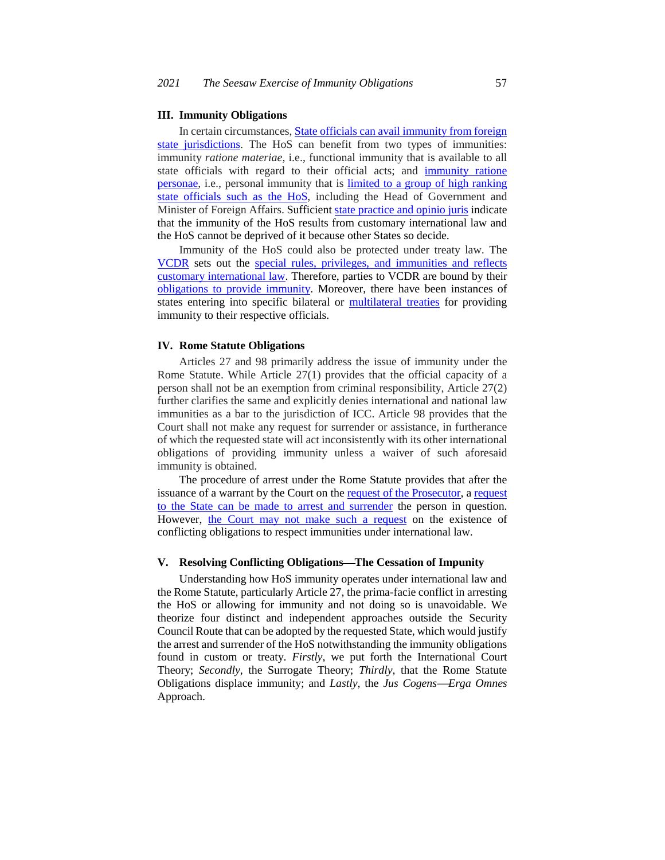#### **III. Immunity Obligations**

In certain circumstances[, State officials can avail immunity from foreign](https://books.google.co.in/books/about/The_Legal_Position_in_International_Law.html?id=ShRvHQAACAAJ&redir_esc=y) [state jurisdictions.](https://books.google.co.in/books/about/The_Legal_Position_in_International_Law.html?id=ShRvHQAACAAJ&redir_esc=y) The HoS can benefit from two types of immunities: state officials with regard to their official acts; and immunity ratione [personae,](https://www.icj-cij.org/files/case-related/121/121-20020214-JUD-01-00-EN.pdf#page=30) i.e., personal immunity that is limited to a group of high ranking [state officials such as the HoS,](https://www.cambridge.org/core/journals/american-journal-of-international-law/article/international-law-immunities-and-the-international-criminal-court/C89D9DA7B44DA181205D51801A8B1E05) including the Head of Government and that the immunity of the HoS results from customary international law and immunity *ratione materiae*, i.e., functional immunity that is available to all Minister of Foreign Affairs. Sufficient [state practice and opinio juris i](https://www.cambridge.org/core/books/an-introduction-to-the-international-criminal-court/C93EFD38B2A31E26553AD75B4BC3AAA4)ndicate the HoS cannot be deprived of it because other States so decide.

 Immunity of the HoS could also be protected under treaty law. The [VCDR](https://legal.un.org/ilc/texts/instruments/english/conventions/9_1_1961.pdf) sets out the special rules, privileges, and immunities and reflects [customary international law.](https://www.icj-cij.org/files/case-related/64/064-19800524-JUD-01-00-EN.pdf) Therefore, parties to VCDR are bound by their [obligations to provide immunity.](https://legal.un.org/ilc/texts/instruments/english/conventions/9_1_1961.pdf#page=9) Moreover, there have been instances of states entering into specific bilateral or [multilateral treaties](http://www.dfa.gov.za/foreign/Multilateral/africa/treaties/oaupriv.htm) for providing immunity to their respective officials.

## **IV. Rome Statute Obligations**

 Articles 27 and 98 primarily address the issue of immunity under the Rome Statute. While Article 27(1) provides that the official capacity of a person shall not be an exemption from criminal responsibility, Article 27(2) immunities as a bar to the jurisdiction of ICC. Article 98 provides that the Court shall not make any request for surrender or assistance, in furtherance of which the requested state will act inconsistently with its other international obligations of providing immunity unless a waiver of such aforesaid further clarifies the same and explicitly denies international and national law immunity is obtained.

 The procedure of arrest under the Rome Statute provides that after the issuance of a warrant by the Court on th[e request of the Prosecutor,](https://www.icc-cpi.int/resourcelibrary/official-journal/rome-statute.aspx#article58) a request [to the State can be made to arrest and surrender](https://www.icc-cpi.int/resourcelibrary/official-journal/rome-statute.aspx#article89) the person in question. However, [the Court may not make such a request](https://www.icc-cpi.int/resourcelibrary/official-journal/rome-statute.aspx#article98) on the existence of conflicting obligations to respect immunities under international law.

# **V. Resolving Conflicting ObligationsThe Cessation of Impunity**

 Understanding how HoS immunity operates under international law and the Rome Statute, particularly Article 27, the prima-facie conflict in arresting the HoS or allowing for immunity and not doing so is unavoidable. We theorize four distinct and independent approaches outside the Security the arrest and surrender of the HoS notwithstanding the immunity obligations found in custom or treaty. *Firstly*, we put forth the International Court Council Route that can be adopted by the requested State, which would justify Theory; *Secondly*, the Surrogate Theory; *Thirdly*, that the Rome Statute Obligations displace immunity; and *Lastly*, the *Jus CogensErga Omnes*  Approach.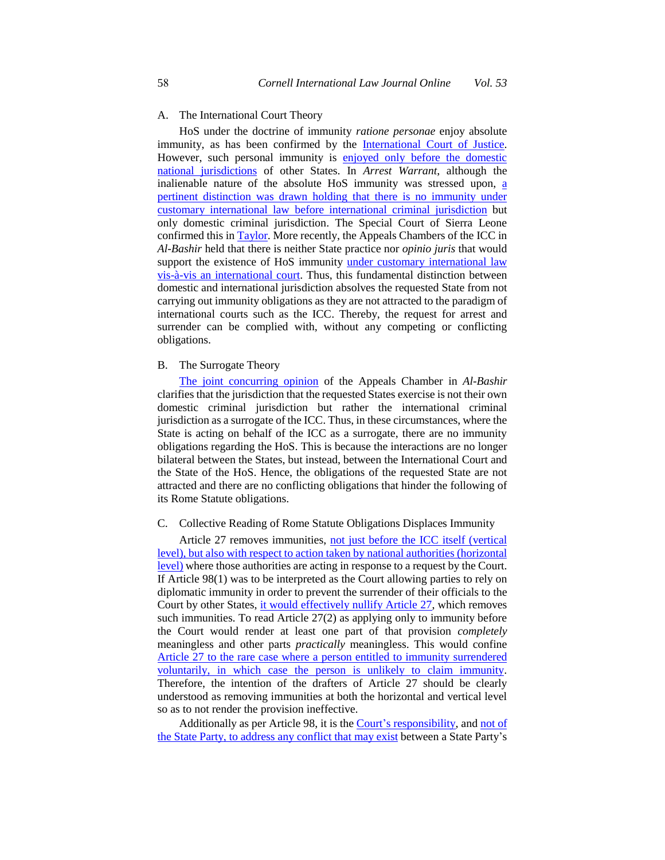#### A. The International Court Theory

 HoS under the doctrine of immunity *ratione personae* enjoy absolute immunity, as has been confirmed by the [International Court of Justice.](https://www.icj-cij.org/files/case-related/121/121-20020214-JUD-01-00-EN.pdf#page=24) However, such personal immunity is **enjoyed only before the domestic**  [national jurisdictions](https://global.oup.com/ukhe/product/international-law-9780199259397?cc=in&lang=en&) of other States. In *Arrest Warrant*, although the inalienable nature of the absolute HoS immunity was stressed upon, a [pertinent distinction was drawn holding that there is no immunity under](https://www.icj-cij.org/files/case-related/121/121-20020214-JUD-01-00-EN.pdf#page=26)  [customary international law before international criminal jurisdiction](https://www.icj-cij.org/files/case-related/121/121-20020214-JUD-01-00-EN.pdf#page=26) but only domestic criminal jurisdiction. The Special Court of Sierra Leone confirmed this in **Taylor**. More recently, the Appeals Chambers of the ICC in *Al-Bashir* held that there is neither State practice nor *opinio juris* that would support the existence of HoS immunity under customary international law carrying out immunity obligations as they are not attracted to the paradigm of international courts such as the ICC. Thereby, the request for arrest and surrender can be complied with, without any competing or conflicting [vis-à-vis an international court.](https://www.icc-cpi.int/CourtRecords/CR2019_02593.PDF#page=57) Thus, this fundamental distinction between domestic and international jurisdiction absolves the requested State from not obligations.

## B. The Surrogate Theory

 clarifies that the jurisdiction that the requested States exercise is not their own domestic criminal jurisdiction but rather the international criminal State is acting on behalf of the ICC as a surrogate, there are no immunity [The joint concurring opinion](https://www.icc-cpi.int/RelatedRecords/CR2019_02857.PDF) of the Appeals Chamber in *Al-Bashir* jurisdiction as a surrogate of the ICC. Thus, in these circumstances, where the obligations regarding the HoS. This is because the interactions are no longer bilateral between the States, but instead, between the International Court and the State of the HoS. Hence, the obligations of the requested State are not attracted and there are no conflicting obligations that hinder the following of its Rome Statute obligations.

#### C. Collective Reading of Rome Statute Obligations Displaces Immunity

Article 27 removes immunities, [not just before the ICC itself \(vertical](https://www.ejiltalk.org/does-the-icc-statute-remove-immunities-of-state-officials-in-national-proceedings-some-observations-from-the-drafting-history-of-article-272-of-the-rome-statute/) [level\), but also with respect to action taken by national authorities \(horizontal](https://www.ejiltalk.org/does-the-icc-statute-remove-immunities-of-state-officials-in-national-proceedings-some-observations-from-the-drafting-history-of-article-272-of-the-rome-statute/)  [level\)](https://www.ejiltalk.org/does-the-icc-statute-remove-immunities-of-state-officials-in-national-proceedings-some-observations-from-the-drafting-history-of-article-272-of-the-rome-statute/) where those authorities are acting in response to a request by the Court. If Article 98(1) was to be interpreted as the Court allowing parties to rely on diplomatic immunity in order to prevent the surrender of their officials to the Court by other States, [it would effectively nullify Article 27,](https://opil.ouplaw.com/view/10.1093/law/9780198298625.001.0001/law-9780199243129-chapter-44) which removes such immunities. To read Article 27(2) as applying only to immunity before the Court would render at least one part of that provision *completely*  [Article 27 to the rare case where a person entitled to immunity surrendered](https://www.ejiltalk.org/does-the-icc-statute-remove-immunities-of-state-officials-in-national-proceedings-some-observations-from-the-drafting-history-of-article-272-of-the-rome-statute/)  [voluntarily, in which case the person is unlikely to claim immunity.](https://www.ejiltalk.org/does-the-icc-statute-remove-immunities-of-state-officials-in-national-proceedings-some-observations-from-the-drafting-history-of-article-272-of-the-rome-statute/)  Therefore, the intention of the drafters of Article 27 should be clearly understood as removing immunities at both the horizontal and vertical level meaningless and other parts *practically* meaningless. This would confine so as to not render the provision ineffective.

Additionally as per Article 98, it is the **Court's responsibility**, and not of [the State Party, to address any conflict that may exist](https://www.icc-cpi.int/CourtRecords/CR2017_07156.PDF#page=16) between a State Party's